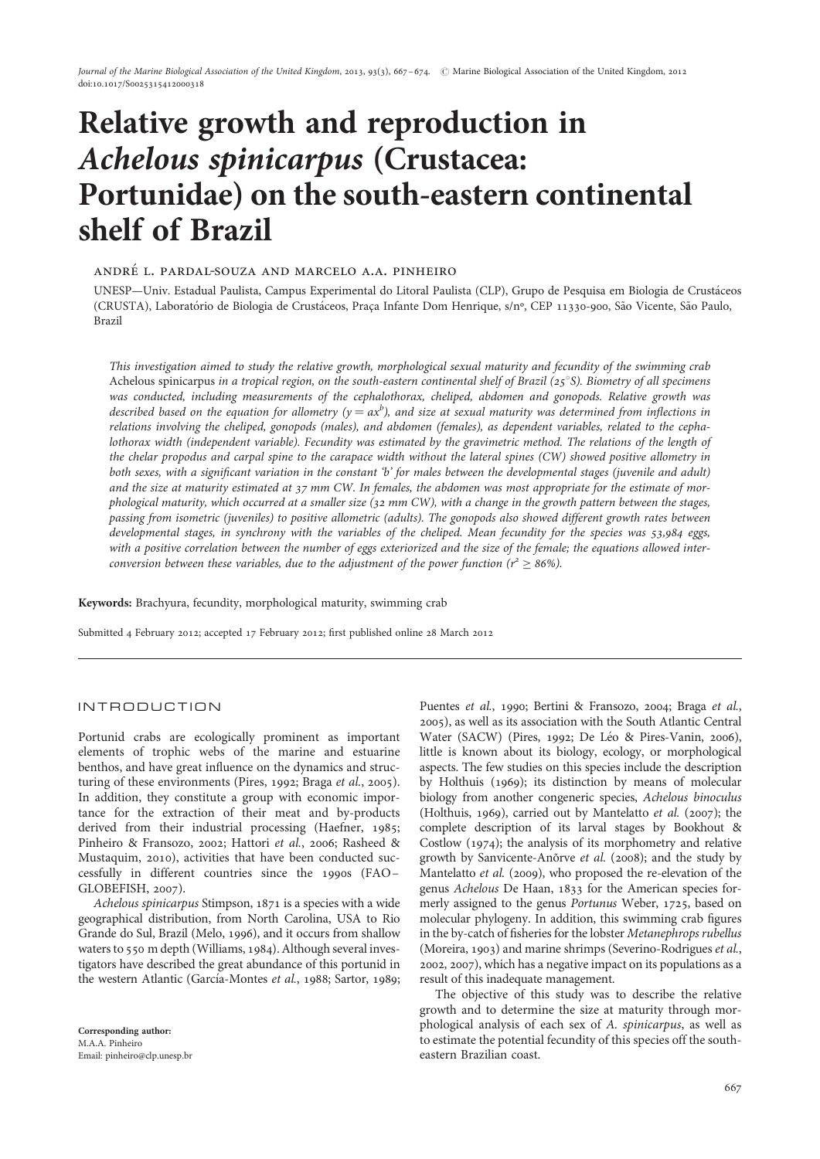# Relative growth and reproduction in Achelous spinicarpus (Crustacea: Portunidae) on the south-eastern continental shelf of Brazil

## andre' l. pardal-souza and marcelo a.a. pinheiro

UNESP—Univ. Estadual Paulista, Campus Experimental do Litoral Paulista (CLP), Grupo de Pesquisa em Biologia de Crusta´ceos (CRUSTA), Laboratório de Biologia de Crustáceos, Praça Infante Dom Henrique, s/nº, CEP 11330-900, São Vicente, São Paulo, Brazil

This investigation aimed to study the relative growth, morphological sexual maturity and fecundity of the swimming crab Achelous spinicarpus in a tropical region, on the south-eastern continental shelf of Brazil ( $25^{\circ}$ S). Biometry of all specimens was conducted, including measurements of the cephalothorax, cheliped, abdomen and gonopods. Relative growth was described based on the equation for allometry (y  $=$  ax $^b$ ), and size at sexual maturity was determined from inflections in relations involving the cheliped, gonopods (males), and abdomen (females), as dependent variables, related to the cephalothorax width (independent variable). Fecundity was estimated by the gravimetric method. The relations of the length of the chelar propodus and carpal spine to the carapace width without the lateral spines (CW) showed positive allometry in both sexes, with a significant variation in the constant 'b' for males between the developmental stages (juvenile and adult) and the size at maturity estimated at 37 mm CW. In females, the abdomen was most appropriate for the estimate of morphological maturity, which occurred at a smaller size (32 mm CW), with a change in the growth pattern between the stages, passing from isometric (juveniles) to positive allometric (adults). The gonopods also showed different growth rates between developmental stages, in synchrony with the variables of the cheliped. Mean fecundity for the species was 53,984 eggs, with a positive correlation between the number of eggs exteriorized and the size of the female; the equations allowed interconversion between these variables, due to the adjustment of the power function ( $r^2 \ge 86\%$ ).

Keywords: Brachyura, fecundity, morphological maturity, swimming crab

Submitted 4 February 2012; accepted 17 February 2012; first published online 28 March 2012

## INTRODUCTION

Portunid crabs are ecologically prominent as important elements of trophic webs of the marine and estuarine benthos, and have great influence on the dynamics and structuring of these environments (Pires, 1992; Braga et al., 2005). In addition, they constitute a group with economic importance for the extraction of their meat and by-products derived from their industrial processing (Haefner, 1985; Pinheiro & Fransozo, 2002; Hattori et al., 2006; Rasheed & Mustaquim, 2010), activities that have been conducted successfully in different countries since the 1990s (FAO – GLOBEFISH, 2007).

Achelous spinicarpus Stimpson, 1871 is a species with a wide geographical distribution, from North Carolina, USA to Rio Grande do Sul, Brazil (Melo, 1996), and it occurs from shallow waters to 550 m depth (Williams, 1984). Although several investigators have described the great abundance of this portunid in the western Atlantic (García-Montes et al., 1988; Sartor, 1989;

Puentes et al., 1990; Bertini & Fransozo, 2004; Braga et al., 2005), as well as its association with the South Atlantic Central Water (SACW) (Pires, 1992; De Léo & Pires-Vanin, 2006), little is known about its biology, ecology, or morphological aspects. The few studies on this species include the description by Holthuis (1969); its distinction by means of molecular biology from another congeneric species, Achelous binoculus (Holthuis, 1969), carried out by Mantelatto et al. (2007); the complete description of its larval stages by Bookhout & Costlow (1974); the analysis of its morphometry and relative growth by Sanvicente-Anorve et al. (2008); and the study by Mantelatto et al. (2009), who proposed the re-elevation of the genus Achelous De Haan, 1833 for the American species formerly assigned to the genus Portunus Weber, 1725, based on molecular phylogeny. In addition, this swimming crab figures in the by-catch of fisheries for the lobster Metanephrops rubellus (Moreira, 1903) and marine shrimps (Severino-Rodrigues et al., 2002, 2007), which has a negative impact on its populations as a result of this inadequate management.

The objective of this study was to describe the relative growth and to determine the size at maturity through morphological analysis of each sex of A. spinicarpus, as well as to estimate the potential fecundity of this species off the southeastern Brazilian coast.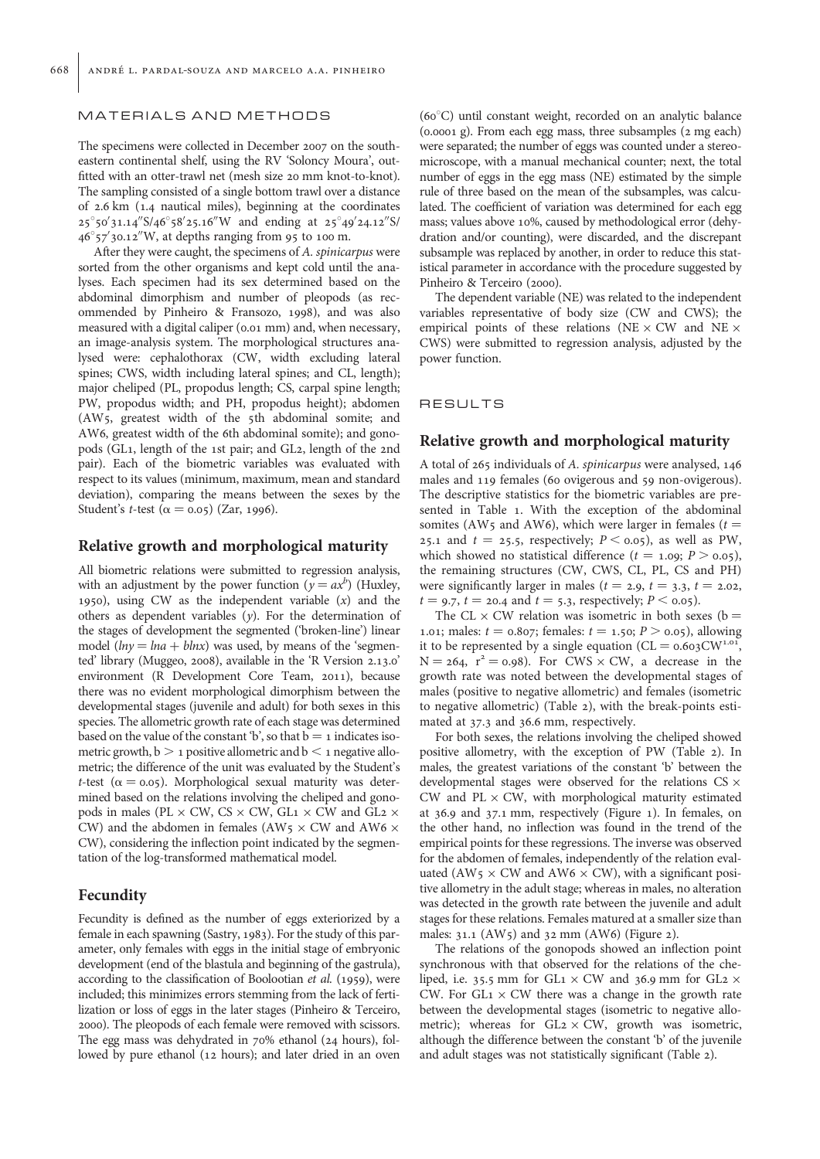## MATERIALS AND METHODS

The specimens were collected in December 2007 on the southeastern continental shelf, using the RV 'Soloncy Moura', outfitted with an otter-trawl net (mesh size 20 mm knot-to-knot). The sampling consisted of a single bottom trawl over a distance of 2.6 km (1.4 nautical miles), beginning at the coordinates  $25^{\circ}$ 50′31.14″S/46 $^{\circ}$ 58′25.16″W and ending at 25 $^{\circ}$ 49′24.12″S/  $46^{\circ}$ 57 $^{\prime}$ 30.12 $^{\prime\prime}$ W, at depths ranging from 95 to 100 m.

After they were caught, the specimens of A. spinicarpus were sorted from the other organisms and kept cold until the analyses. Each specimen had its sex determined based on the abdominal dimorphism and number of pleopods (as recommended by Pinheiro & Fransozo, 1998), and was also measured with a digital caliper (0.01 mm) and, when necessary, an image-analysis system. The morphological structures analysed were: cephalothorax (CW, width excluding lateral spines; CWS, width including lateral spines; and CL, length); major cheliped (PL, propodus length; CS, carpal spine length; PW, propodus width; and PH, propodus height); abdomen (AW5, greatest width of the 5th abdominal somite; and AW6, greatest width of the 6th abdominal somite); and gonopods (GL1, length of the 1st pair; and GL2, length of the 2nd pair). Each of the biometric variables was evaluated with respect to its values (minimum, maximum, mean and standard deviation), comparing the means between the sexes by the Student's *t*-test ( $\alpha$  = 0.05) (Zar, 1996).

## Relative growth and morphological maturity

All biometric relations were submitted to regression analysis, with an adjustment by the power function ( $y = ax^b$ ) (Huxley, 1950), using CW as the independent variable (x) and the others as dependent variables  $(y)$ . For the determination of the stages of development the segmented ('broken-line') linear model ( $ln y = ln a + blnx$ ) was used, by means of the 'segmented' library (Muggeo, 2008), available in the 'R Version 2.13.0' environment (R Development Core Team, 2011), because there was no evident morphological dimorphism between the developmental stages (juvenile and adult) for both sexes in this species. The allometric growth rate of each stage was determined based on the value of the constant 'b', so that  $b = 1$  indicates isometric growth,  $b > 1$  positive allometric and  $b < 1$  negative allometric; the difference of the unit was evaluated by the Student's t-test ( $\alpha = 0.05$ ). Morphological sexual maturity was determined based on the relations involving the cheliped and gonopods in males (PL  $\times$  CW, CS  $\times$  CW, GL1  $\times$  CW and GL2  $\times$ CW) and the abdomen in females (AW5  $\times$  CW and AW6  $\times$ CW), considering the inflection point indicated by the segmentation of the log-transformed mathematical model.

## Fecundity

Fecundity is defined as the number of eggs exteriorized by a female in each spawning (Sastry, 1983). For the study of this parameter, only females with eggs in the initial stage of embryonic development (end of the blastula and beginning of the gastrula), according to the classification of Boolootian et al. (1959), were included; this minimizes errors stemming from the lack of fertilization or loss of eggs in the later stages (Pinheiro & Terceiro, 2000). The pleopods of each female were removed with scissors. The egg mass was dehydrated in 70% ethanol (24 hours), followed by pure ethanol (12 hours); and later dried in an oven

 $(60^{\circ}$ C) until constant weight, recorded on an analytic balance (0.0001 g). From each egg mass, three subsamples (2 mg each) were separated; the number of eggs was counted under a stereomicroscope, with a manual mechanical counter; next, the total number of eggs in the egg mass (NE) estimated by the simple rule of three based on the mean of the subsamples, was calculated. The coefficient of variation was determined for each egg mass; values above 10%, caused by methodological error (dehydration and/or counting), were discarded, and the discrepant subsample was replaced by another, in order to reduce this statistical parameter in accordance with the procedure suggested by Pinheiro & Terceiro (2000).

The dependent variable (NE) was related to the independent variables representative of body size (CW and CWS); the empirical points of these relations (NE  $\times$  CW and NE  $\times$ CWS) were submitted to regression analysis, adjusted by the power function.

## **RESULTS**

## Relative growth and morphological maturity

A total of 265 individuals of A. spinicarpus were analysed, 146 males and 119 females (60 ovigerous and 59 non-ovigerous). The descriptive statistics for the biometric variables are presented in Table 1. With the exception of the abdominal somites (AW5 and AW6), which were larger in females ( $t =$ 25.1 and  $t = 25.5$ , respectively;  $P \le 0.05$ ), as well as PW, which showed no statistical difference ( $t = 1.09$ ;  $P > 0.05$ ), the remaining structures (CW, CWS, CL, PL, CS and PH) were significantly larger in males ( $t = 2.9$ ,  $t = 3.3$ ,  $t = 2.02$ ,  $t = 9.7$ ,  $t = 20.4$  and  $t = 5.3$ , respectively;  $P \le 0.05$ ).

The CL  $\times$  CW relation was isometric in both sexes (b = 1.01; males:  $t = 0.807$ ; females:  $t = 1.50$ ;  $P > 0.05$ ), allowing it to be represented by a single equation ( $CL = 0.603 CW^{1.01}$ ,  $N = 264$ ,  $r^2 = 0.98$ ). For CWS × CW, a decrease in the growth rate was noted between the developmental stages of males (positive to negative allometric) and females (isometric to negative allometric) (Table 2), with the break-points estimated at 37.3 and 36.6 mm, respectively.

For both sexes, the relations involving the cheliped showed positive allometry, with the exception of PW (Table 2). In males, the greatest variations of the constant 'b' between the developmental stages were observed for the relations  $CS \times$ CW and  $PL \times CW$ , with morphological maturity estimated at 36.9 and 37.1 mm, respectively (Figure 1). In females, on the other hand, no inflection was found in the trend of the empirical points for these regressions. The inverse was observed for the abdomen of females, independently of the relation evaluated (AW5  $\times$  CW and AW6  $\times$  CW), with a significant positive allometry in the adult stage; whereas in males, no alteration was detected in the growth rate between the juvenile and adult stages for these relations. Females matured at a smaller size than males: 31.1 (AW5) and 32 mm (AW6) (Figure 2).

The relations of the gonopods showed an inflection point synchronous with that observed for the relations of the cheliped, i.e. 35.5 mm for  $GL_1 \times CW$  and 36.9 mm for  $GL_2 \times$ CW. For  $GL_1 \times CW$  there was a change in the growth rate between the developmental stages (isometric to negative allometric); whereas for  $GL_2 \times CW$ , growth was isometric, although the difference between the constant 'b' of the juvenile and adult stages was not statistically significant (Table 2).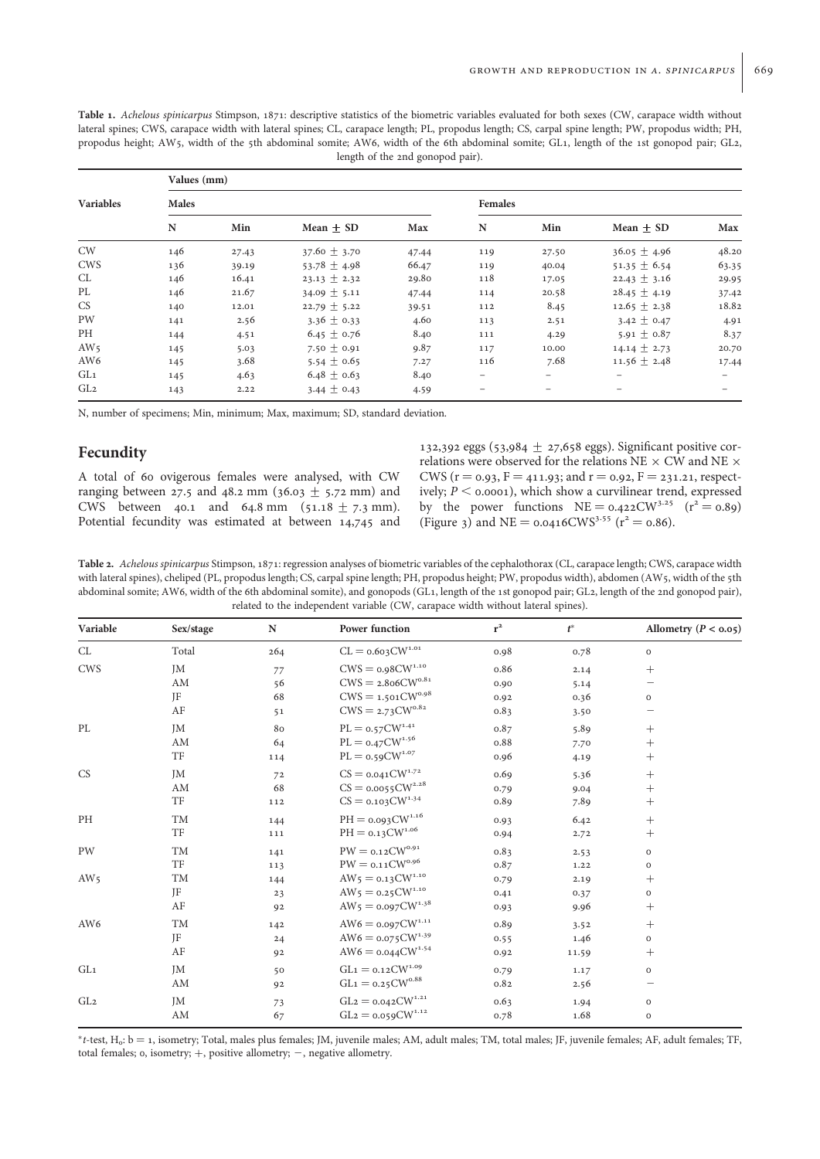Table 1. Achelous spinicarpus Stimpson, 1871: descriptive statistics of the biometric variables evaluated for both sexes (CW, carapace width without lateral spines; CWS, carapace width with lateral spines; CL, carapace length; PL, propodus length; CS, carpal spine length; PW, propodus width; PH, propodus height; AW5, width of the 5th abdominal somite; AW6, width of the 6th abdominal somite; GL1, length of the 1st gonopod pair; GL2, length of the 2nd gonopod pair).

| <b>Variables</b> | Values (mm) |       |                  |                |                          |       |                  |       |  |  |  |  |
|------------------|-------------|-------|------------------|----------------|--------------------------|-------|------------------|-------|--|--|--|--|
|                  | Males       |       |                  | <b>Females</b> |                          |       |                  |       |  |  |  |  |
|                  | ${\bf N}$   | Min   | $Mean + SD$      | Max            | N                        | Min   | $Mean + SD$      | Max   |  |  |  |  |
| <b>CW</b>        | 146         | 27.43 | $37.60 \pm 3.70$ | 47.44          | 119                      | 27.50 | $36.05 \pm 4.96$ | 48.20 |  |  |  |  |
| <b>CWS</b>       | 136         | 39.19 | 53.78 $\pm$ 4.98 | 66.47          | 119                      | 40.04 | $51.35 \pm 6.54$ | 63.35 |  |  |  |  |
| CL               | 146         | 16.41 | $23.13 \pm 2.32$ | 29.80          | 118                      | 17.05 | $22.43 \pm 3.16$ | 29.95 |  |  |  |  |
| PL               | 146         | 21.67 | 34.09 $\pm$ 5.11 | 47.44          | 114                      | 20.58 | $28.45 \pm 4.19$ | 37.42 |  |  |  |  |
| <b>CS</b>        | 140         | 12.01 | $22.79 \pm 5.22$ | 39.51          | 112                      | 8.45  | $12.65 \pm 2.38$ | 18.82 |  |  |  |  |
| PW               | 141         | 2.56  | $3.36 \pm 0.33$  | 4.60           | 113                      | 2.51  | 3.42 $\pm$ 0.47  | 4.91  |  |  |  |  |
| PH               | 144         | 4.51  | $6.45 \pm 0.76$  | 8.40           | 111                      | 4.29  | 5.91 $\pm$ 0.87  | 8.37  |  |  |  |  |
| AW <sub>5</sub>  | 145         | 5.03  | 7.50 $\pm$ 0.91  | 9.87           | 117                      | 10.00 | $14.14 \pm 2.73$ | 20.70 |  |  |  |  |
| AW <sub>6</sub>  | 145         | 3.68  | 5.54 $\pm$ 0.65  | 7.27           | 116                      | 7.68  | $11.56 \pm 2.48$ | 17.44 |  |  |  |  |
| GL <sub>1</sub>  | 145         | 4.63  | $6.48 \pm 0.63$  | 8.40           |                          |       |                  |       |  |  |  |  |
| GL <sub>2</sub>  | 143         | 2.22  | 3.44 $\pm$ 0.43  | 4.59           | $\overline{\phantom{0}}$ | -     |                  |       |  |  |  |  |

N, number of specimens; Min, minimum; Max, maximum; SD, standard deviation.

# Fecundity

A total of 60 ovigerous females were analysed, with CW ranging between 27.5 and 48.2 mm (36.03  $\pm$  5.72 mm) and CWS between 40.1 and 64.8 mm (51.18  $\pm$  7.3 mm). Potential fecundity was estimated at between 14,745 and

132,392 eggs (53,984  $\pm$  27,658 eggs). Significant positive correlations were observed for the relations NE  $\times$  CW and NE  $\times$ CWS ( $r = 0.93$ ,  $F = 411.93$ ; and  $r = 0.92$ ,  $F = 231.21$ , respectively;  $P <$  0.0001), which show a curvilinear trend, expressed by the power functions  $NE = 0.422 CW^{3.25}$   $(r^2 = 0.89)$ (Figure 3) and NE =  $0.0416 \text{CWS}^{3.55}$  ( $r^2 = 0.86$ ).

Table 2. Achelous spinicarpus Stimpson, 1871: regression analyses of biometric variables of the cephalothorax (CL, carapace length; CWS, carapace width with lateral spines), cheliped (PL, propodus length; CS, carpal spine length; PH, propodus height; PW, propodus width), abdomen (AW5, width of the 5th abdominal somite; AW6, width of the 6th abdominal somite), and gonopods (GL1, length of the 1st gonopod pair; GL2, length of the 2nd gonopod pair), related to the independent variable (CW, carapace width without lateral spines).

| Variable        | Sex/stage | ${\bf N}$ | Power function                                             | $r^2$ | $t^*$ | Allometry ( $P < 0.05$ ) |
|-----------------|-----------|-----------|------------------------------------------------------------|-------|-------|--------------------------|
| CL              | Total     | 264       | $CL = 0.603 CW^{1.01}$                                     | 0.98  | 0.78  | $\mathbf O$              |
| <b>CWS</b>      | <b>JM</b> | 77        | $\mathrm{CWS} =$ 0.98<br>CW $^{\mathrm{1.10}}$             | 0.86  | 2.14  | $^{+}$                   |
|                 | AM        | 56        | $\mathrm{CWS} =$ 2.8<br>o6CW $\mathrm{^{0.81}}$            | 0.90  | 5.14  |                          |
|                 | JF        | 68        | $\mathrm{CWS} = \text{_{1.501}C} \mathrm{W}^{\text{o.98}}$ | 0.92  | 0.36  | $\mathbf 0$              |
|                 | AF        | 51        | $CWS = 2.73 CW^{0.82}$                                     | 0.83  | 3.50  |                          |
| PL              | <b>JM</b> | 80        | $\text{PL}=\text{o.57}\text{CW}^{\text{1.41}}$             | 0.87  | 5.89  | $^{+}$                   |
|                 | AM        | 64        | $\text{PL}=\text{o.47}\text{CW}^{\text{1.56}}$             | 0.88  | 7.70  | $^{+}$                   |
|                 | TF        | 114       | $\text{PL}=\text{o.59}\text{CW}^{\text{1.07}}$             | 0.96  | 4.19  | $^{+}$                   |
| CS              | <b>JM</b> | 72        | $\text{CS}=\text{0.041}\text{CW}^{1.72}$                   | 0.69  | 5.36  | $^{+}$                   |
|                 | AM        | 68        | $CS = 0.0055 \text{CW}^{2.28}$                             | 0.79  | 9.04  | $^{+}$                   |
|                 | TF        | 112       | $CS = 0.103 \text{CW}^{1.34}$                              | 0.89  | 7.89  | $^{+}$                   |
| PH              | TM        | 144       | $\ensuremath{\mathrm{PH}} =$ 0.093<br>CW $^{1.16}$         | 0.93  | 6.42  | $^{+}$                   |
|                 | TF        | 111       | $\ensuremath{{\rm PH}} =$ 0.13<br>CW $^{1.06}$             | 0.94  | 2.72  | $^{+}$                   |
| PW              | TM        | 141       | $\mathrm{PW} =$ 0.12<br>CW $^{0.91}$                       | 0.83  | 2.53  | $\mathbf 0$              |
|                 | TF        | 113       | $\mathrm{PW} = \mathrm{0.11}\mathrm{CW}^{0.96}$            | 0.87  | 1.22  | $\mathbf O$              |
| AW <sub>5</sub> | TM        | 144       | $AW_5 = 0.13$ CW <sup>1.10</sup>                           | 0.79  | 2.19  | $^{+}$                   |
|                 | JF        | 23        | $AW_5 = 0.25 CW^{1.10}$                                    | 0.41  | 0.37  | $\mathbf 0$              |
|                 | AF        | 92        | $AW_5 = 0.097$ CW <sup>1.38</sup>                          | 0.93  | 9.96  | $^{+}$                   |
| AW6             | TM        | 142       | $\text{AW6} = \text{0.097}\text{CW}^{1.11}$                | 0.89  | 3.52  | $^{+}$                   |
|                 | IF        | 24        | $AW6 = 0.075 CW^{1.39}$                                    | 0.55  | 1.46  | $\mathbf 0$              |
|                 | AF        | 92        | $AW6 = 0.044 CW^{1.54}$                                    | 0.92  | 11.59 | $^{+}$                   |
| GL <sub>1</sub> | <b>JM</b> | 50        | $\mathrm{GL}1 =$ 0.12<br>CW $^{1.09}$                      | 0.79  | 1.17  | $\mathbf 0$              |
|                 | AM        | 92        | $\mathrm{GL}{\rm 1}={\rm o.25CW^{o.88}}$                   | 0.82  | 2.56  |                          |
| GL <sub>2</sub> | JM        | 73        | $\mathrm{GL} 2 =$ 0.042<br>CW $^{1.21}$                    | 0.63  | 1.94  | $\mathbf O$              |
|                 | AM        | 67        | $\mathrm{GL}{2}=$ 0.059<br>CW $^{1.12}$                    | 0.78  | 1.68  | $\mathbf O$              |

<sup>∗</sup>t-test, H0: b ¼ 1, isometry; Total, males plus females; JM, juvenile males; AM, adult males; TM, total males; JF, juvenile females; AF, adult females; TF, total females;  $o$ , isometry;  $+$ , positive allometry;  $-$ , negative allometry.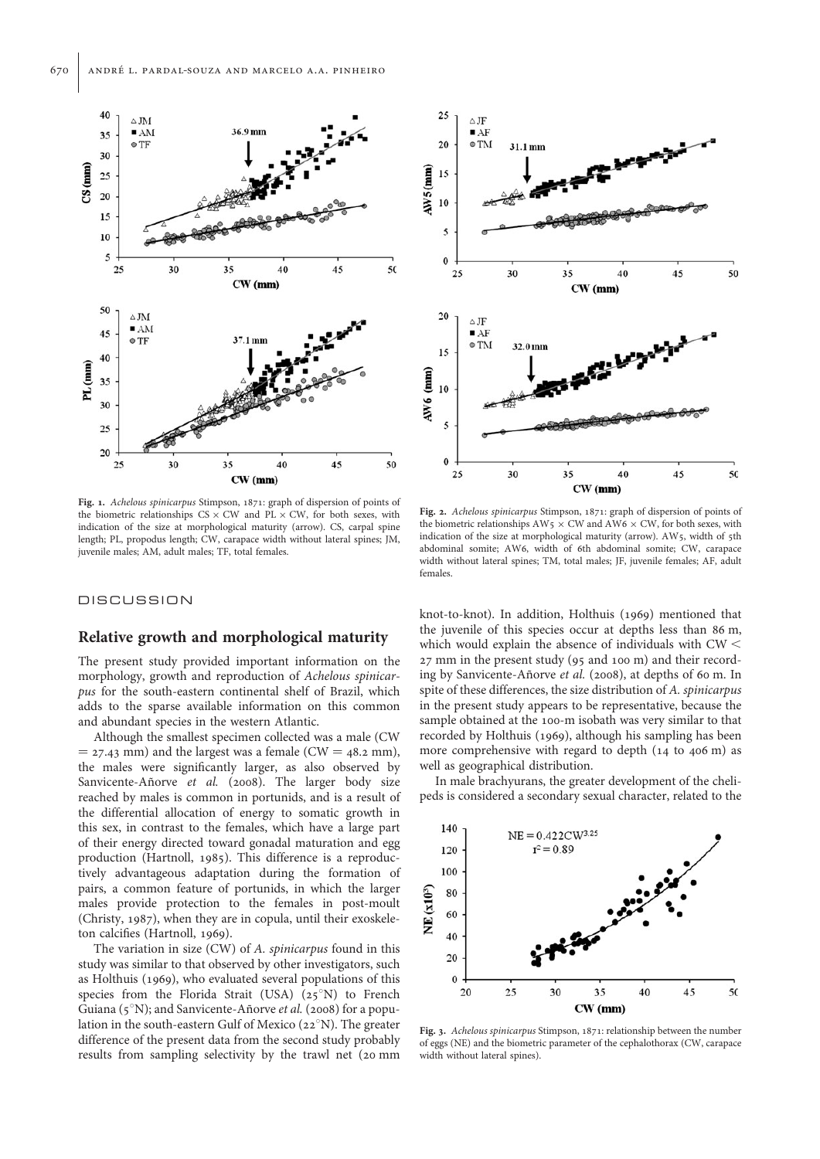

Fig. 1. Achelous spinicarpus Stimpson, 1871: graph of dispersion of points of the biometric relationships  $CS \times CW$  and  $PL \times CW$ , for both sexes, with indication of the size at morphological maturity (arrow). CS, carpal spine length; PL, propodus length; CW, carapace width without lateral spines; JM, juvenile males; AM, adult males; TF, total females.

#### **DISCUSSION**

# Relative growth and morphological maturity

The present study provided important information on the morphology, growth and reproduction of Achelous spinicarpus for the south-eastern continental shelf of Brazil, which adds to the sparse available information on this common and abundant species in the western Atlantic.

Although the smallest specimen collected was a male (CW  $=$  27.43 mm) and the largest was a female (CW  $=$  48.2 mm), the males were significantly larger, as also observed by Sanvicente-Añorve et al. (2008). The larger body size reached by males is common in portunids, and is a result of the differential allocation of energy to somatic growth in this sex, in contrast to the females, which have a large part of their energy directed toward gonadal maturation and egg production (Hartnoll, 1985). This difference is a reproductively advantageous adaptation during the formation of pairs, a common feature of portunids, in which the larger males provide protection to the females in post-moult (Christy, 1987), when they are in copula, until their exoskeleton calcifies (Hartnoll, 1969).

The variation in size (CW) of A. spinicarpus found in this study was similar to that observed by other investigators, such as Holthuis (1969), who evaluated several populations of this species from the Florida Strait (USA)  $(25°N)$  to French Guiana ( $5°N$ ); and Sanvicente-Añorve et al. (2008) for a population in the south-eastern Gulf of Mexico (22 $\textdegree$ N). The greater difference of the present data from the second study probably results from sampling selectivity by the trawl net (20 mm



Fig. 2. Achelous spinicarpus Stimpson, 1871: graph of dispersion of points of the biometric relationships  $AW5 \times CW$  and  $AW6 \times CW$ , for both sexes, with indication of the size at morphological maturity (arrow). AW5, width of 5th abdominal somite; AW6, width of 6th abdominal somite; CW, carapace width without lateral spines; TM, total males; JF, juvenile females; AF, adult females.

knot-to-knot). In addition, Holthuis (1969) mentioned that the juvenile of this species occur at depths less than 86 m, which would explain the absence of individuals with  $CW <$ 27 mm in the present study (95 and 100 m) and their recording by Sanvicente-Añorve et al. (2008), at depths of 60 m. In spite of these differences, the size distribution of A. spinicarpus in the present study appears to be representative, because the sample obtained at the 100-m isobath was very similar to that recorded by Holthuis (1969), although his sampling has been more comprehensive with regard to depth (14 to 406 m) as well as geographical distribution.

In male brachyurans, the greater development of the chelipeds is considered a secondary sexual character, related to the



Fig. 3. Achelous spinicarpus Stimpson, 1871: relationship between the number of eggs (NE) and the biometric parameter of the cephalothorax (CW, carapace width without lateral spines).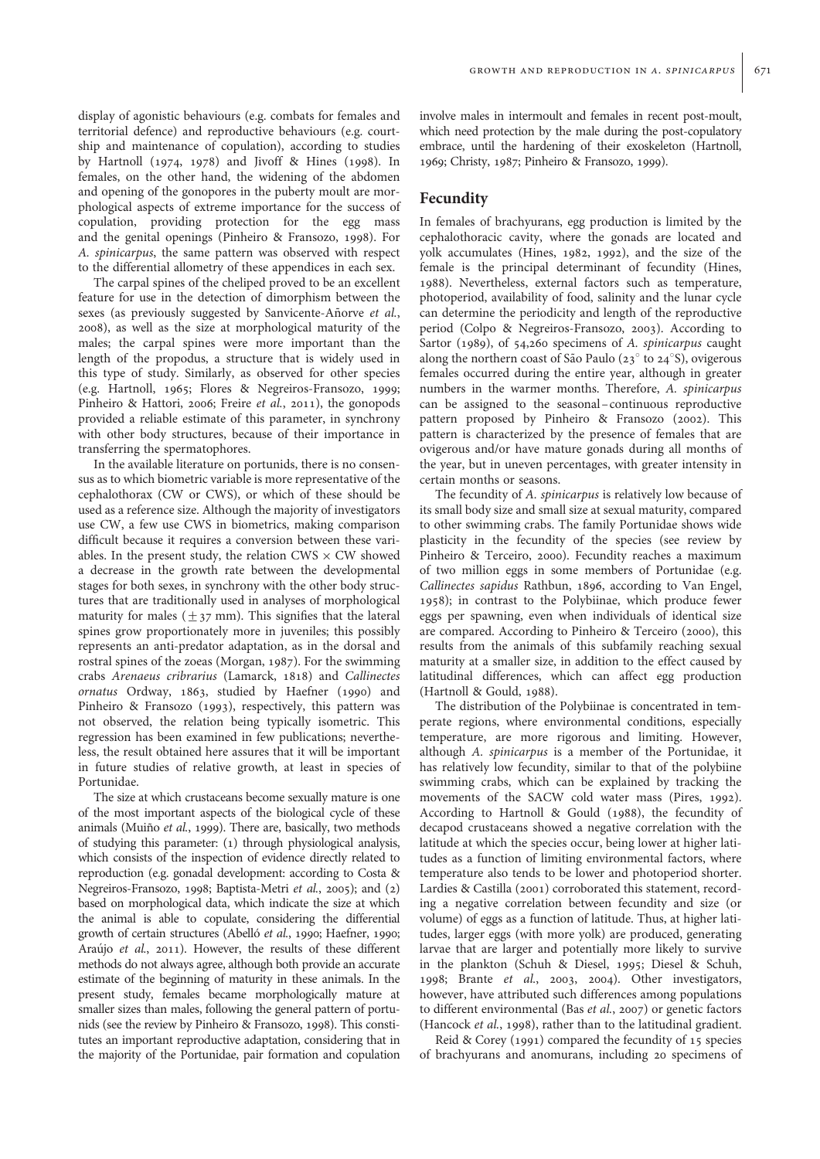display of agonistic behaviours (e.g. combats for females and territorial defence) and reproductive behaviours (e.g. courtship and maintenance of copulation), according to studies by Hartnoll (1974, 1978) and Jivoff & Hines (1998). In females, on the other hand, the widening of the abdomen and opening of the gonopores in the puberty moult are morphological aspects of extreme importance for the success of copulation, providing protection for the egg mass and the genital openings (Pinheiro & Fransozo, 1998). For A. spinicarpus, the same pattern was observed with respect to the differential allometry of these appendices in each sex.

The carpal spines of the cheliped proved to be an excellent feature for use in the detection of dimorphism between the sexes (as previously suggested by Sanvicente-Añorve et al., 2008), as well as the size at morphological maturity of the males; the carpal spines were more important than the length of the propodus, a structure that is widely used in this type of study. Similarly, as observed for other species (e.g. Hartnoll, 1965; Flores & Negreiros-Fransozo, 1999; Pinheiro & Hattori, 2006; Freire et al., 2011), the gonopods provided a reliable estimate of this parameter, in synchrony with other body structures, because of their importance in transferring the spermatophores.

In the available literature on portunids, there is no consensus as to which biometric variable is more representative of the cephalothorax (CW or CWS), or which of these should be used as a reference size. Although the majority of investigators use CW, a few use CWS in biometrics, making comparison difficult because it requires a conversion between these variables. In the present study, the relation CWS  $\times$  CW showed a decrease in the growth rate between the developmental stages for both sexes, in synchrony with the other body structures that are traditionally used in analyses of morphological maturity for males ( $\pm$ 37 mm). This signifies that the lateral spines grow proportionately more in juveniles; this possibly represents an anti-predator adaptation, as in the dorsal and rostral spines of the zoeas (Morgan, 1987). For the swimming crabs Arenaeus cribrarius (Lamarck, 1818) and Callinectes ornatus Ordway, 1863, studied by Haefner (1990) and Pinheiro & Fransozo (1993), respectively, this pattern was not observed, the relation being typically isometric. This regression has been examined in few publications; nevertheless, the result obtained here assures that it will be important in future studies of relative growth, at least in species of Portunidae.

The size at which crustaceans become sexually mature is one of the most important aspects of the biological cycle of these animals (Muiño et al., 1999). There are, basically, two methods of studying this parameter: (1) through physiological analysis, which consists of the inspection of evidence directly related to reproduction (e.g. gonadal development: according to Costa & Negreiros-Fransozo, 1998; Baptista-Metri et al., 2005); and (2) based on morphological data, which indicate the size at which the animal is able to copulate, considering the differential growth of certain structures (Abelló et al., 1990; Haefner, 1990; Araújo et al., 2011). However, the results of these different methods do not always agree, although both provide an accurate estimate of the beginning of maturity in these animals. In the present study, females became morphologically mature at smaller sizes than males, following the general pattern of portunids (see the review by Pinheiro & Fransozo, 1998). This constitutes an important reproductive adaptation, considering that in the majority of the Portunidae, pair formation and copulation

involve males in intermoult and females in recent post-moult, which need protection by the male during the post-copulatory embrace, until the hardening of their exoskeleton (Hartnoll, 1969; Christy, 1987; Pinheiro & Fransozo, 1999).

# Fecundity

In females of brachyurans, egg production is limited by the cephalothoracic cavity, where the gonads are located and yolk accumulates (Hines, 1982, 1992), and the size of the female is the principal determinant of fecundity (Hines, 1988). Nevertheless, external factors such as temperature, photoperiod, availability of food, salinity and the lunar cycle can determine the periodicity and length of the reproductive period (Colpo & Negreiros-Fransozo, 2003). According to Sartor (1989), of 54,260 specimens of A. spinicarpus caught along the northern coast of São Paulo ( $23^\circ$  to  $24^\circ$ S), ovigerous females occurred during the entire year, although in greater numbers in the warmer months. Therefore, A. spinicarpus can be assigned to the seasonal –continuous reproductive pattern proposed by Pinheiro & Fransozo (2002). This pattern is characterized by the presence of females that are ovigerous and/or have mature gonads during all months of the year, but in uneven percentages, with greater intensity in certain months or seasons.

The fecundity of A. *spinicarpus* is relatively low because of its small body size and small size at sexual maturity, compared to other swimming crabs. The family Portunidae shows wide plasticity in the fecundity of the species (see review by Pinheiro & Terceiro, 2000). Fecundity reaches a maximum of two million eggs in some members of Portunidae (e.g. Callinectes sapidus Rathbun, 1896, according to Van Engel, 1958); in contrast to the Polybiinae, which produce fewer eggs per spawning, even when individuals of identical size are compared. According to Pinheiro & Terceiro (2000), this results from the animals of this subfamily reaching sexual maturity at a smaller size, in addition to the effect caused by latitudinal differences, which can affect egg production (Hartnoll & Gould, 1988).

The distribution of the Polybiinae is concentrated in temperate regions, where environmental conditions, especially temperature, are more rigorous and limiting. However, although A. spinicarpus is a member of the Portunidae, it has relatively low fecundity, similar to that of the polybiine swimming crabs, which can be explained by tracking the movements of the SACW cold water mass (Pires, 1992). According to Hartnoll & Gould (1988), the fecundity of decapod crustaceans showed a negative correlation with the latitude at which the species occur, being lower at higher latitudes as a function of limiting environmental factors, where temperature also tends to be lower and photoperiod shorter. Lardies & Castilla (2001) corroborated this statement, recording a negative correlation between fecundity and size (or volume) of eggs as a function of latitude. Thus, at higher latitudes, larger eggs (with more yolk) are produced, generating larvae that are larger and potentially more likely to survive in the plankton (Schuh & Diesel, 1995; Diesel & Schuh, 1998; Brante et al., 2003, 2004). Other investigators, however, have attributed such differences among populations to different environmental (Bas et al., 2007) or genetic factors (Hancock et al., 1998), rather than to the latitudinal gradient.

Reid & Corey (1991) compared the fecundity of 15 species of brachyurans and anomurans, including 20 specimens of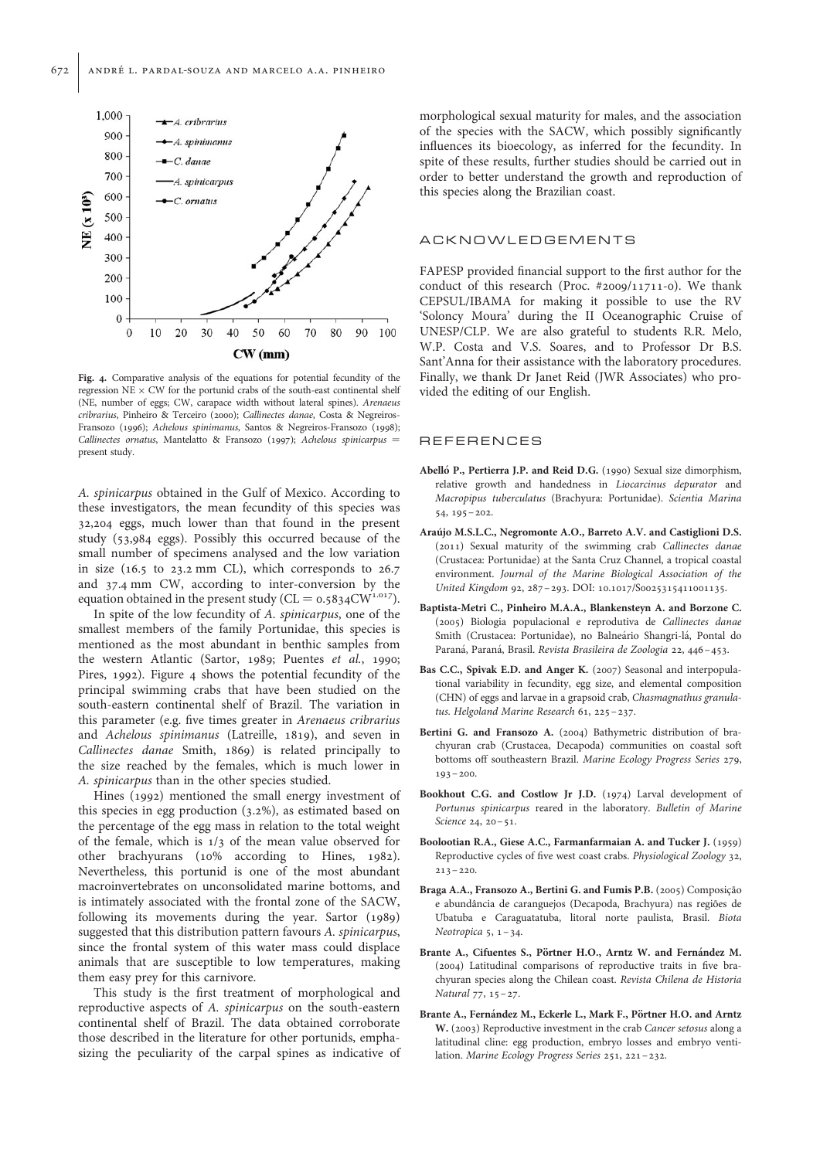

Fig. 4. Comparative analysis of the equations for potential fecundity of the regression  $NE \times CW$  for the portunid crabs of the south-east continental shelf (NE, number of eggs; CW, carapace width without lateral spines). Arenaeus cribrarius, Pinheiro & Terceiro (2000); Callinectes danae, Costa & Negreiros-Fransozo (1996); Achelous spinimanus, Santos & Negreiros-Fransozo (1998); Callinectes ornatus, Mantelatto & Fransozo (1997); Achelous spinicarpus = present study.

A. spinicarpus obtained in the Gulf of Mexico. According to these investigators, the mean fecundity of this species was 32,204 eggs, much lower than that found in the present study (53,984 eggs). Possibly this occurred because of the small number of specimens analysed and the low variation in size (16.5 to 23.2 mm CL), which corresponds to 26.7 and 37.4 mm CW, according to inter-conversion by the equation obtained in the present study ( $CL = 0.5834CW^{1.017}$ ).

In spite of the low fecundity of A. spinicarpus, one of the smallest members of the family Portunidae, this species is mentioned as the most abundant in benthic samples from the western Atlantic (Sartor, 1989; Puentes et al., 1990; Pires, 1992). Figure 4 shows the potential fecundity of the principal swimming crabs that have been studied on the south-eastern continental shelf of Brazil. The variation in this parameter (e.g. five times greater in Arenaeus cribrarius and Achelous spinimanus (Latreille, 1819), and seven in Callinectes danae Smith, 1869) is related principally to the size reached by the females, which is much lower in A. spinicarpus than in the other species studied.

Hines (1992) mentioned the small energy investment of this species in egg production (3.2%), as estimated based on the percentage of the egg mass in relation to the total weight of the female, which is 1/3 of the mean value observed for other brachyurans (10% according to Hines, 1982). Nevertheless, this portunid is one of the most abundant macroinvertebrates on unconsolidated marine bottoms, and is intimately associated with the frontal zone of the SACW, following its movements during the year. Sartor (1989) suggested that this distribution pattern favours A. spinicarpus, since the frontal system of this water mass could displace animals that are susceptible to low temperatures, making them easy prey for this carnivore.

This study is the first treatment of morphological and reproductive aspects of A. spinicarpus on the south-eastern continental shelf of Brazil. The data obtained corroborate those described in the literature for other portunids, emphasizing the peculiarity of the carpal spines as indicative of

morphological sexual maturity for males, and the association of the species with the SACW, which possibly significantly influences its bioecology, as inferred for the fecundity. In spite of these results, further studies should be carried out in order to better understand the growth and reproduction of this species along the Brazilian coast.

#### ACKNOWLEDGEMENTS

FAPESP provided financial support to the first author for the conduct of this research (Proc.  $\#2009/11711-0$ ). We thank CEPSUL/IBAMA for making it possible to use the RV 'Soloncy Moura' during the II Oceanographic Cruise of UNESP/CLP. We are also grateful to students R.R. Melo, W.P. Costa and V.S. Soares, and to Professor Dr B.S. Sant'Anna for their assistance with the laboratory procedures. Finally, we thank Dr Janet Reid (JWR Associates) who provided the editing of our English.

#### **REFERENCES**

- Abelló P., Pertierra J.P. and Reid D.G. (1990) Sexual size dimorphism, relative growth and handedness in Liocarcinus depurator and Macropipus tuberculatus (Brachyura: Portunidae). Scientia Marina 54, 195–202.
- Arau´jo M.S.L.C., Negromonte A.O., Barreto A.V. and Castiglioni D.S. (2011) Sexual maturity of the swimming crab Callinectes danae (Crustacea: Portunidae) at the Santa Cruz Channel, a tropical coastal environment. Journal of the Marine Biological Association of the United Kingdom 92, 287–293. DOI: 10.1017/S0025315411001135.
- Baptista-Metri C., Pinheiro M.A.A., Blankensteyn A. and Borzone C. (2005) Biologia populacional e reprodutiva de Callinectes danae Smith (Crustacea: Portunidae), no Balneário Shangri-lá, Pontal do Paraná, Paraná, Brasil. Revista Brasileira de Zoologia 22, 446-453.
- Bas C.C., Spivak E.D. and Anger K. (2007) Seasonal and interpopulational variability in fecundity, egg size, and elemental composition (CHN) of eggs and larvae in a grapsoid crab, Chasmagnathus granulatus. Helgoland Marine Research 61, 225–237.
- Bertini G. and Fransozo A. (2004) Bathymetric distribution of brachyuran crab (Crustacea, Decapoda) communities on coastal soft bottoms off southeastern Brazil. Marine Ecology Progress Series 279,  $193 - 200$ .
- Bookhout C.G. and Costlow Jr J.D. (1974) Larval development of Portunus spinicarpus reared in the laboratory. Bulletin of Marine Science 24, 20-51.
- Boolootian R.A., Giese A.C., Farmanfarmaian A. and Tucker J. (1959) Reproductive cycles of five west coast crabs. Physiological Zoology 32,  $213 - 220$ .
- Braga A.A., Fransozo A., Bertini G. and Fumis P.B. (2005) Composição e abundância de caranguejos (Decapoda, Brachyura) nas regiões de Ubatuba e Caraguatatuba, litoral norte paulista, Brasil. Biota Neotropica  $5, 1-34.$
- Brante A., Cifuentes S., Pörtner H.O., Arntz W. and Fernández M. (2004) Latitudinal comparisons of reproductive traits in five brachyuran species along the Chilean coast. Revista Chilena de Historia Natural 77, 15–27.
- Brante A., Fernández M., Eckerle L., Mark F., Pörtner H.O. and Arntz W. (2003) Reproductive investment in the crab Cancer setosus along a latitudinal cline: egg production, embryo losses and embryo ventilation. Marine Ecology Progress Series 251, 221–232.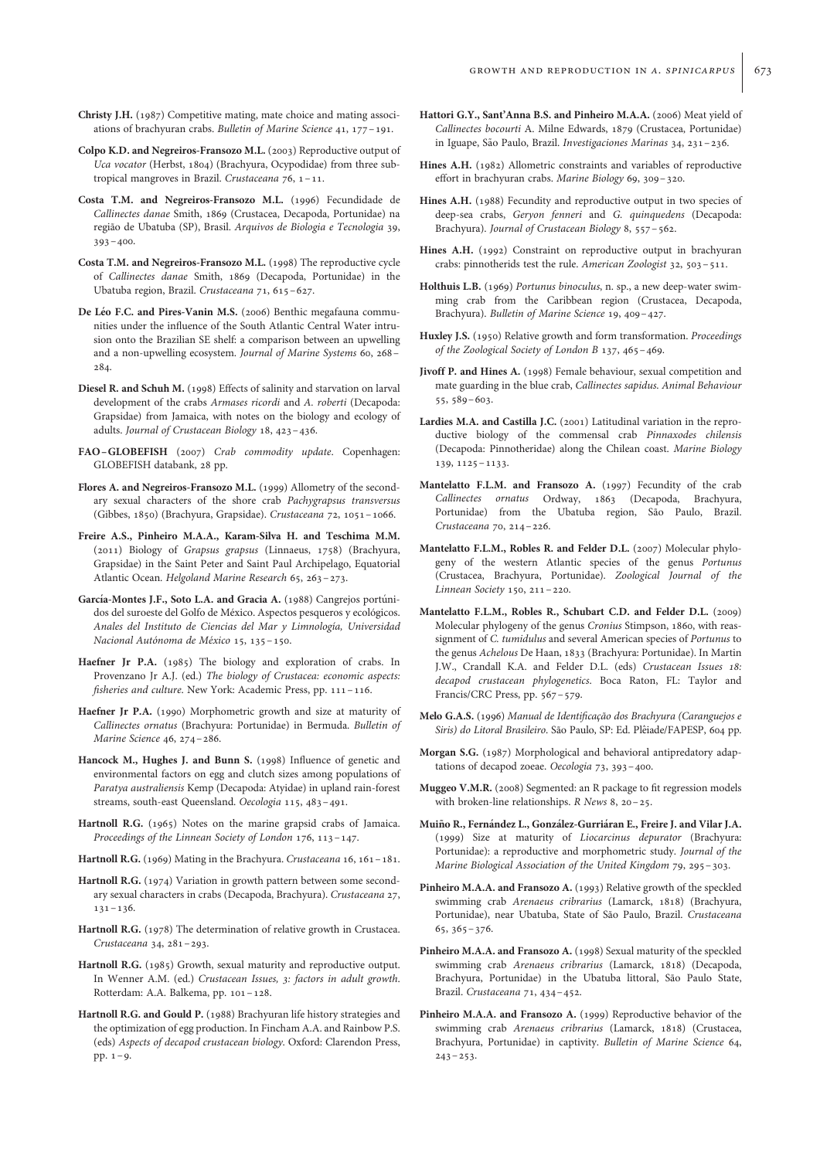- Christy J.H. (1987) Competitive mating, mate choice and mating associations of brachyuran crabs. Bulletin of Marine Science 41, 177–191.
- Colpo K.D. and Negreiros-Fransozo M.L. (2003) Reproductive output of Uca vocator (Herbst, 1804) (Brachyura, Ocypodidae) from three subtropical mangroves in Brazil. Crustaceana 76, 1 –11.
- Costa T.M. and Negreiros-Fransozo M.L. (1996) Fecundidade de Callinectes danae Smith, 1869 (Crustacea, Decapoda, Portunidae) na região de Ubatuba (SP), Brasil. Arquivos de Biologia e Tecnologia 39,  $393 - 400$ .
- Costa T.M. and Negreiros-Fransozo M.L. (1998) The reproductive cycle of Callinectes danae Smith, 1869 (Decapoda, Portunidae) in the Ubatuba region, Brazil. Crustaceana 71, 615–627.
- De Léo F.C. and Pires-Vanin M.S. (2006) Benthic megafauna communities under the influence of the South Atlantic Central Water intrusion onto the Brazilian SE shelf: a comparison between an upwelling and a non-upwelling ecosystem. Journal of Marine Systems 60, 268– 284.
- Diesel R. and Schuh M. (1998) Effects of salinity and starvation on larval development of the crabs Armases ricordi and A. roberti (Decapoda: Grapsidae) from Jamaica, with notes on the biology and ecology of adults. Journal of Crustacean Biology 18, 423–436.
- FAO–GLOBEFISH (2007) Crab commodity update. Copenhagen: GLOBEFISH databank, 28 pp.
- Flores A. and Negreiros-Fransozo M.L. (1999) Allometry of the secondary sexual characters of the shore crab Pachygrapsus transversus (Gibbes, 1850) (Brachyura, Grapsidae). Crustaceana 72, 1051–1066.
- Freire A.S., Pinheiro M.A.A., Karam-Silva H. and Teschima M.M. (2011) Biology of Grapsus grapsus (Linnaeus, 1758) (Brachyura, Grapsidae) in the Saint Peter and Saint Paul Archipelago, Equatorial Atlantic Ocean. Helgoland Marine Research 65, 263–273.
- García-Montes J.F., Soto L.A. and Gracia A. (1988) Cangrejos portúnidos del suroeste del Golfo de México. Aspectos pesqueros y ecológicos. Anales del Instituto de Ciencias del Mar y Limnología, Universidad Nacional Autónoma de México 15, 135-150.
- Haefner Jr P.A. (1985) The biology and exploration of crabs. In Provenzano Jr A.J. (ed.) The biology of Crustacea: economic aspects: fisheries and culture. New York: Academic Press, pp. 111-116.
- Haefner Jr P.A. (1990) Morphometric growth and size at maturity of Callinectes ornatus (Brachyura: Portunidae) in Bermuda. Bulletin of Marine Science 46, 274–286.
- Hancock M., Hughes J. and Bunn S. (1998) Influence of genetic and environmental factors on egg and clutch sizes among populations of Paratya australiensis Kemp (Decapoda: Atyidae) in upland rain-forest streams, south-east Queensland. Oecologia 115, 483–491.
- Hartnoll R.G. (1965) Notes on the marine grapsid crabs of Jamaica. Proceedings of the Linnean Society of London 176, 113–147.
- Hartnoll R.G. (1969) Mating in the Brachyura. Crustaceana 16, 161-181.
- Hartnoll R.G. (1974) Variation in growth pattern between some secondary sexual characters in crabs (Decapoda, Brachyura). Crustaceana 27, 131–136.
- Hartnoll R.G. (1978) The determination of relative growth in Crustacea. Crustaceana 34, 281–293.
- Hartnoll R.G. (1985) Growth, sexual maturity and reproductive output. In Wenner A.M. (ed.) Crustacean Issues, 3: factors in adult growth. Rotterdam: A.A. Balkema, pp. 101–128.
- Hartnoll R.G. and Gould P. (1988) Brachyuran life history strategies and the optimization of egg production. In Fincham A.A. and Rainbow P.S. (eds) Aspects of decapod crustacean biology. Oxford: Clarendon Press, pp. 1–9.
- Hattori G.Y., Sant'Anna B.S. and Pinheiro M.A.A. (2006) Meat yield of Callinectes bocourti A. Milne Edwards, 1879 (Crustacea, Portunidae) in Iguape, São Paulo, Brazil. Investigaciones Marinas 34, 231-236.
- Hines A.H. (1982) Allometric constraints and variables of reproductive effort in brachyuran crabs. Marine Biology 69, 309–320.
- Hines A.H. (1988) Fecundity and reproductive output in two species of deep-sea crabs, Geryon fenneri and G. quinquedens (Decapoda: Brachyura). Journal of Crustacean Biology 8, 557–562.
- Hines A.H. (1992) Constraint on reproductive output in brachyuran crabs: pinnotherids test the rule. American Zoologist 32, 503–511.
- Holthuis L.B. (1969) Portunus binoculus, n. sp., a new deep-water swimming crab from the Caribbean region (Crustacea, Decapoda, Brachyura). Bulletin of Marine Science 19, 409–427.
- Huxley J.S. (1950) Relative growth and form transformation. Proceedings of the Zoological Society of London B 137, 465–469.
- Jivoff P. and Hines A. (1998) Female behaviour, sexual competition and mate guarding in the blue crab, Callinectes sapidus. Animal Behaviour 55, 589–603.
- Lardies M.A. and Castilla J.C. (2001) Latitudinal variation in the reproductive biology of the commensal crab Pinnaxodes chilensis (Decapoda: Pinnotheridae) along the Chilean coast. Marine Biology 139, 1125–1133.
- Mantelatto F.L.M. and Fransozo A. (1997) Fecundity of the crab Callinectes ornatus Ordway, 1863 (Decapoda, Brachyura, Portunidae) from the Ubatuba region, São Paulo, Brazil. Crustaceana 70, 214–226.
- Mantelatto F.L.M., Robles R. and Felder D.L. (2007) Molecular phylogeny of the western Atlantic species of the genus Portunus (Crustacea, Brachyura, Portunidae). Zoological Journal of the Linnean Society 150, 211–220.
- Mantelatto F.L.M., Robles R., Schubart C.D. and Felder D.L. (2009) Molecular phylogeny of the genus Cronius Stimpson, 1860, with reassignment of C. tumidulus and several American species of Portunus to the genus Achelous De Haan, 1833 (Brachyura: Portunidae). In Martin J.W., Crandall K.A. and Felder D.L. (eds) Crustacean Issues 18: decapod crustacean phylogenetics. Boca Raton, FL: Taylor and Francis/CRC Press, pp. 567-579.
- Melo G.A.S. (1996) Manual de Identificação dos Brachyura (Caranguejos e Siris) do Litoral Brasileiro. São Paulo, SP: Ed. Plêiade/FAPESP, 604 pp.
- Morgan S.G. (1987) Morphological and behavioral antipredatory adaptations of decapod zoeae. Oecologia 73, 393–400.
- Muggeo V.M.R. (2008) Segmented: an R package to fit regression models with broken-line relationships. R News 8, 20–25.
- Muiño R., Fernández L., González-Gurriáran E., Freire J. and Vilar J.A. (1999) Size at maturity of Liocarcinus depurator (Brachyura: Portunidae): a reproductive and morphometric study. Journal of the Marine Biological Association of the United Kingdom 79, 295–303.
- Pinheiro M.A.A. and Fransozo A. (1993) Relative growth of the speckled swimming crab Arenaeus cribrarius (Lamarck, 1818) (Brachyura, Portunidae), near Ubatuba, State of São Paulo, Brazil. Crustaceana 65, 365–376.
- Pinheiro M.A.A. and Fransozo A. (1998) Sexual maturity of the speckled swimming crab Arenaeus cribrarius (Lamarck, 1818) (Decapoda, Brachyura, Portunidae) in the Ubatuba littoral, São Paulo State, Brazil. Crustaceana 71, 434–452.
- Pinheiro M.A.A. and Fransozo A. (1999) Reproductive behavior of the swimming crab Arenaeus cribrarius (Lamarck, 1818) (Crustacea, Brachyura, Portunidae) in captivity. Bulletin of Marine Science 64,  $243 - 253$ .